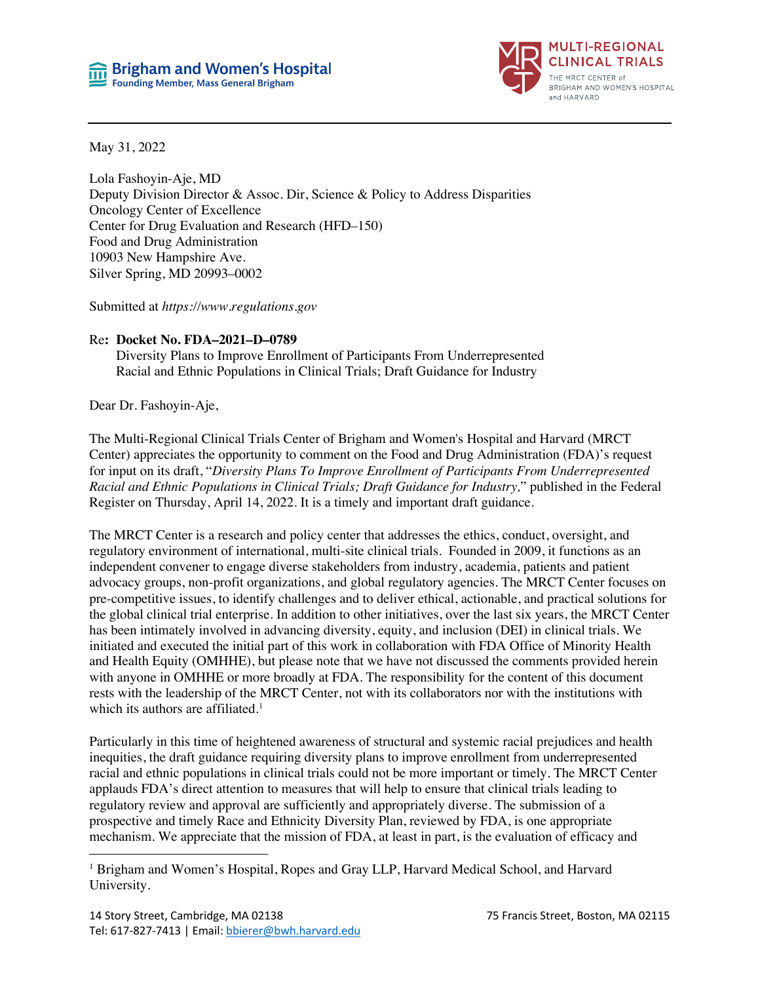

May 31, 2022

Lola Fashoyin-Aje, MD Deputy Division Director & Assoc. Dir, Science & Policy to Address Disparities Oncology Center of Excellence Center for Drug Evaluation and Research (HFD–150) Food and Drug Administration 10903 New Hampshire Ave. Silver Spring, MD 20993–0002

Submitted at *https://www.regulations.gov*

#### Re**: Docket No. FDA–2021–D–0789**

Diversity Plans to Improve Enrollment of Participants From Underrepresented Racial and Ethnic Populations in Clinical Trials; Draft Guidance for Industry

Dear Dr. Fashoyin-Aje,

The Multi-Regional Clinical Trials Center of Brigham and Women's Hospital and Harvard (MRCT Center) appreciates the opportunity to comment on the Food and Drug Administration (FDA)'s request for input on its draft, "*Diversity Plans To Improve Enrollment of Participants From Underrepresented Racial and Ethnic Populations in Clinical Trials; Draft Guidance for Industry,*" published in the Federal Register on Thursday, April 14, 2022. It is a timely and important draft guidance.

The MRCT Center is a research and policy center that addresses the ethics, conduct, oversight, and regulatory environment of international, multi-site clinical trials. Founded in 2009, it functions as an independent convener to engage diverse stakeholders from industry, academia, patients and patient advocacy groups, non-profit organizations, and global regulatory agencies. The MRCT Center focuses on pre-competitive issues, to identify challenges and to deliver ethical, actionable, and practical solutions for the global clinical trial enterprise. In addition to other initiatives, over the last six years, the MRCT Center has been intimately involved in advancing diversity, equity, and inclusion (DEI) in clinical trials. We initiated and executed the initial part of this work in collaboration with FDA Office of Minority Health and Health Equity (OMHHE), but please note that we have not discussed the comments provided herein with anyone in OMHHE or more broadly at FDA. The responsibility for the content of this document rests with the leadership of the MRCT Center, not with its collaborators nor with the institutions with which its authors are affiliated.<sup>1</sup>

Particularly in this time of heightened awareness of structural and systemic racial prejudices and health inequities, the draft guidance requiring diversity plans to improve enrollment from underrepresented racial and ethnic populations in clinical trials could not be more important or timely. The MRCT Center applauds FDA's direct attention to measures that will help to ensure that clinical trials leading to regulatory review and approval are sufficiently and appropriately diverse. The submission of a prospective and timely Race and Ethnicity Diversity Plan, reviewed by FDA, is one appropriate mechanism. We appreciate that the mission of FDA, at least in part, is the evaluation of efficacy and

<sup>1</sup> Brigham and Women's Hospital, Ropes and Gray LLP, Harvard Medical School, and Harvard University.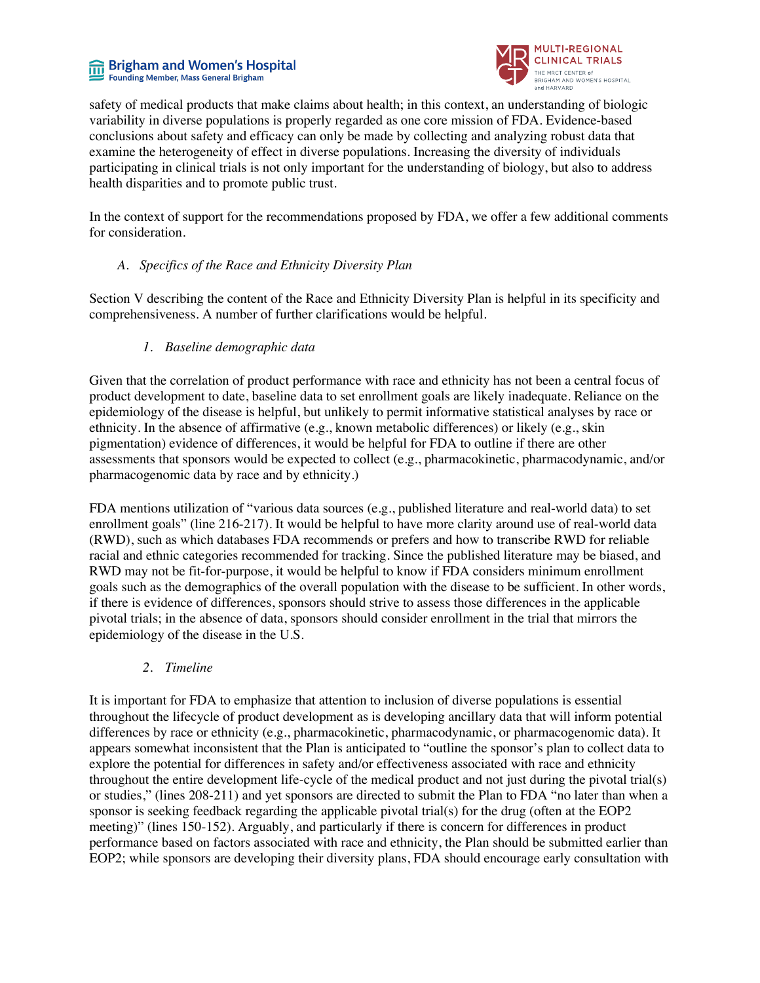#### **nd** Brigham and Women's Hospital Founding Member, Mass General Brigham



safety of medical products that make claims about health; in this context, an understanding of biologic variability in diverse populations is properly regarded as one core mission of FDA. Evidence-based conclusions about safety and efficacy can only be made by collecting and analyzing robust data that examine the heterogeneity of effect in diverse populations. Increasing the diversity of individuals participating in clinical trials is not only important for the understanding of biology, but also to address health disparities and to promote public trust.

In the context of support for the recommendations proposed by FDA, we offer a few additional comments for consideration.

## *A. Specifics of the Race and Ethnicity Diversity Plan*

Section V describing the content of the Race and Ethnicity Diversity Plan is helpful in its specificity and comprehensiveness. A number of further clarifications would be helpful.

## *1. Baseline demographic data*

Given that the correlation of product performance with race and ethnicity has not been a central focus of product development to date, baseline data to set enrollment goals are likely inadequate. Reliance on the epidemiology of the disease is helpful, but unlikely to permit informative statistical analyses by race or ethnicity. In the absence of affirmative (e.g., known metabolic differences) or likely (e.g., skin pigmentation) evidence of differences, it would be helpful for FDA to outline if there are other assessments that sponsors would be expected to collect (e.g., pharmacokinetic, pharmacodynamic, and/or pharmacogenomic data by race and by ethnicity.)

FDA mentions utilization of "various data sources (e.g., published literature and real-world data) to set enrollment goals" (line 216-217). It would be helpful to have more clarity around use of real-world data (RWD), such as which databases FDA recommends or prefers and how to transcribe RWD for reliable racial and ethnic categories recommended for tracking. Since the published literature may be biased, and RWD may not be fit-for-purpose, it would be helpful to know if FDA considers minimum enrollment goals such as the demographics of the overall population with the disease to be sufficient. In other words, if there is evidence of differences, sponsors should strive to assess those differences in the applicable pivotal trials; in the absence of data, sponsors should consider enrollment in the trial that mirrors the epidemiology of the disease in the U.S.

# *2. Timeline*

It is important for FDA to emphasize that attention to inclusion of diverse populations is essential throughout the lifecycle of product development as is developing ancillary data that will inform potential differences by race or ethnicity (e.g., pharmacokinetic, pharmacodynamic, or pharmacogenomic data). It appears somewhat inconsistent that the Plan is anticipated to "outline the sponsor's plan to collect data to explore the potential for differences in safety and/or effectiveness associated with race and ethnicity throughout the entire development life-cycle of the medical product and not just during the pivotal trial(s) or studies," (lines 208-211) and yet sponsors are directed to submit the Plan to FDA "no later than when a sponsor is seeking feedback regarding the applicable pivotal trial(s) for the drug (often at the EOP2 meeting)" (lines 150-152). Arguably, and particularly if there is concern for differences in product performance based on factors associated with race and ethnicity, the Plan should be submitted earlier than EOP2; while sponsors are developing their diversity plans, FDA should encourage early consultation with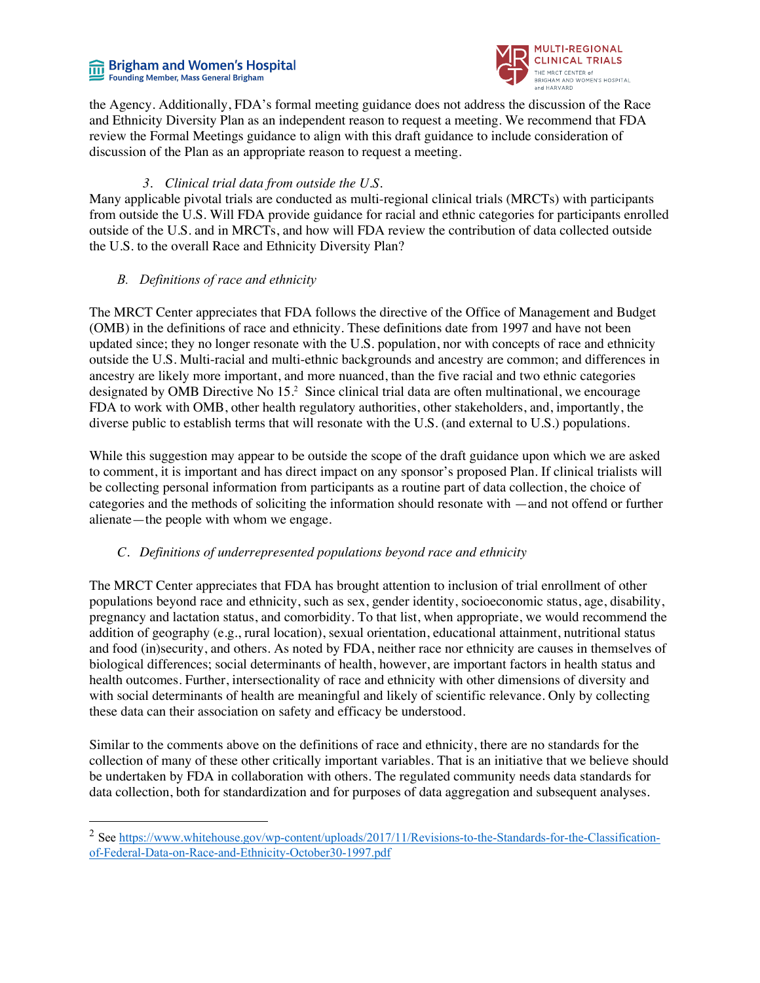# **Figham and Women's Hospital**<br>Founding Member, Mass General Brigham



the Agency. Additionally, FDA's formal meeting guidance does not address the discussion of the Race and Ethnicity Diversity Plan as an independent reason to request a meeting. We recommend that FDA review the Formal Meetings guidance to align with this draft guidance to include consideration of discussion of the Plan as an appropriate reason to request a meeting.

# *3. Clinical trial data from outside the U.S.*

Many applicable pivotal trials are conducted as multi-regional clinical trials (MRCTs) with participants from outside the U.S. Will FDA provide guidance for racial and ethnic categories for participants enrolled outside of the U.S. and in MRCTs, and how will FDA review the contribution of data collected outside the U.S. to the overall Race and Ethnicity Diversity Plan?

## *B. Definitions of race and ethnicity*

The MRCT Center appreciates that FDA follows the directive of the Office of Management and Budget (OMB) in the definitions of race and ethnicity. These definitions date from 1997 and have not been updated since; they no longer resonate with the U.S. population, nor with concepts of race and ethnicity outside the U.S. Multi-racial and multi-ethnic backgrounds and ancestry are common; and differences in ancestry are likely more important, and more nuanced, than the five racial and two ethnic categories designated by OMB Directive No 15.2 Since clinical trial data are often multinational, we encourage FDA to work with OMB, other health regulatory authorities, other stakeholders, and, importantly, the diverse public to establish terms that will resonate with the U.S. (and external to U.S.) populations.

While this suggestion may appear to be outside the scope of the draft guidance upon which we are asked to comment, it is important and has direct impact on any sponsor's proposed Plan. If clinical trialists will be collecting personal information from participants as a routine part of data collection, the choice of categories and the methods of soliciting the information should resonate with —and not offend or further alienate—the people with whom we engage.

# *C. Definitions of underrepresented populations beyond race and ethnicity*

The MRCT Center appreciates that FDA has brought attention to inclusion of trial enrollment of other populations beyond race and ethnicity, such as sex, gender identity, socioeconomic status, age, disability, pregnancy and lactation status, and comorbidity. To that list, when appropriate, we would recommend the addition of geography (e.g., rural location), sexual orientation, educational attainment, nutritional status and food (in)security, and others. As noted by FDA, neither race nor ethnicity are causes in themselves of biological differences; social determinants of health, however, are important factors in health status and health outcomes. Further, intersectionality of race and ethnicity with other dimensions of diversity and with social determinants of health are meaningful and likely of scientific relevance. Only by collecting these data can their association on safety and efficacy be understood.

Similar to the comments above on the definitions of race and ethnicity, there are no standards for the collection of many of these other critically important variables. That is an initiative that we believe should be undertaken by FDA in collaboration with others. The regulated community needs data standards for data collection, both for standardization and for purposes of data aggregation and subsequent analyses.

<sup>&</sup>lt;sup>2</sup> See https://www.whitehouse.gov/wp-content/uploads/2017/11/Revisions-to-the-Standards-for-the-Classificationof-Federal-Data-on-Race-and-Ethnicity-October30-1997.pdf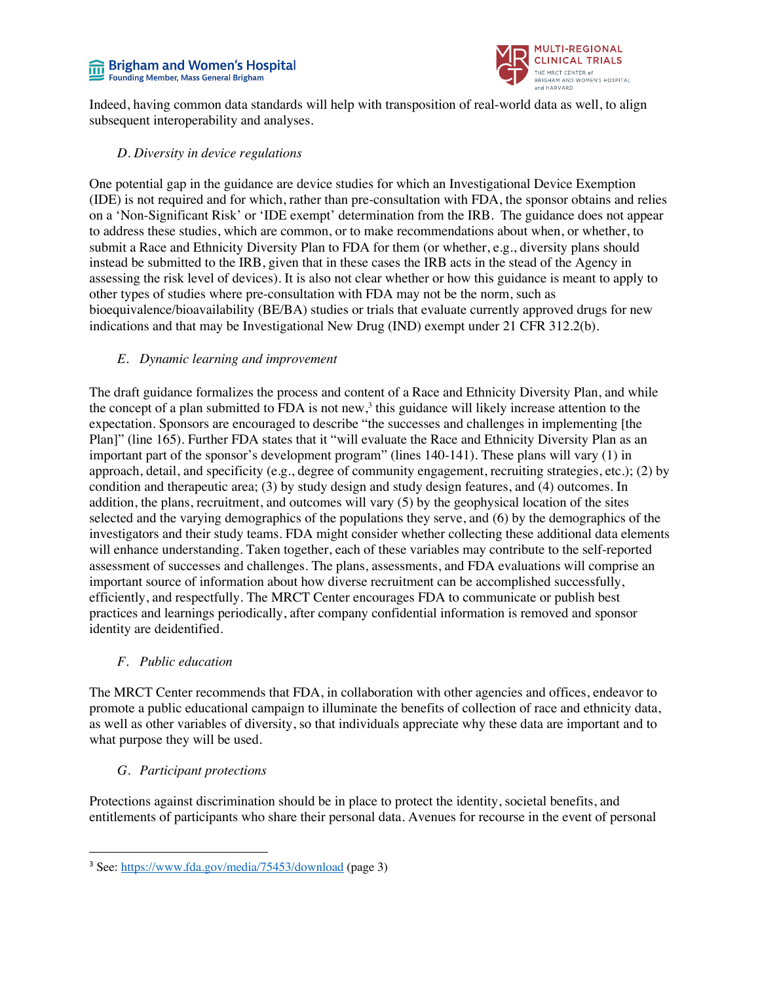#### **Brigham and Women's Hospital** 而 Founding Member, Mass General Brigham



Indeed, having common data standards will help with transposition of real-world data as well, to align subsequent interoperability and analyses.

#### *D. Diversity in device regulations*

One potential gap in the guidance are device studies for which an Investigational Device Exemption (IDE) is not required and for which, rather than pre-consultation with FDA, the sponsor obtains and relies on a 'Non-Significant Risk' or 'IDE exempt' determination from the IRB. The guidance does not appear to address these studies, which are common, or to make recommendations about when, or whether, to submit a Race and Ethnicity Diversity Plan to FDA for them (or whether, e.g., diversity plans should instead be submitted to the IRB, given that in these cases the IRB acts in the stead of the Agency in assessing the risk level of devices). It is also not clear whether or how this guidance is meant to apply to other types of studies where pre-consultation with FDA may not be the norm, such as bioequivalence/bioavailability (BE/BA) studies or trials that evaluate currently approved drugs for new indications and that may be Investigational New Drug (IND) exempt under 21 CFR 312.2(b).

# *E. Dynamic learning and improvement*

The draft guidance formalizes the process and content of a Race and Ethnicity Diversity Plan, and while the concept of a plan submitted to FDA is not new,<sup>3</sup> this guidance will likely increase attention to the expectation. Sponsors are encouraged to describe "the successes and challenges in implementing [the Plan]" (line 165). Further FDA states that it "will evaluate the Race and Ethnicity Diversity Plan as an important part of the sponsor's development program" (lines 140-141). These plans will vary (1) in approach, detail, and specificity (e.g., degree of community engagement, recruiting strategies, etc.); (2) by condition and therapeutic area; (3) by study design and study design features, and (4) outcomes. In addition, the plans, recruitment, and outcomes will vary (5) by the geophysical location of the sites selected and the varying demographics of the populations they serve, and (6) by the demographics of the investigators and their study teams. FDA might consider whether collecting these additional data elements will enhance understanding. Taken together, each of these variables may contribute to the self-reported assessment of successes and challenges. The plans, assessments, and FDA evaluations will comprise an important source of information about how diverse recruitment can be accomplished successfully, efficiently, and respectfully. The MRCT Center encourages FDA to communicate or publish best practices and learnings periodically, after company confidential information is removed and sponsor identity are deidentified.

# *F. Public education*

The MRCT Center recommends that FDA, in collaboration with other agencies and offices, endeavor to promote a public educational campaign to illuminate the benefits of collection of race and ethnicity data, as well as other variables of diversity, so that individuals appreciate why these data are important and to what purpose they will be used.

# *G. Participant protections*

Protections against discrimination should be in place to protect the identity, societal benefits, and entitlements of participants who share their personal data. Avenues for recourse in the event of personal

<sup>3</sup> See: https://www.fda.gov/media/75453/download (page 3)